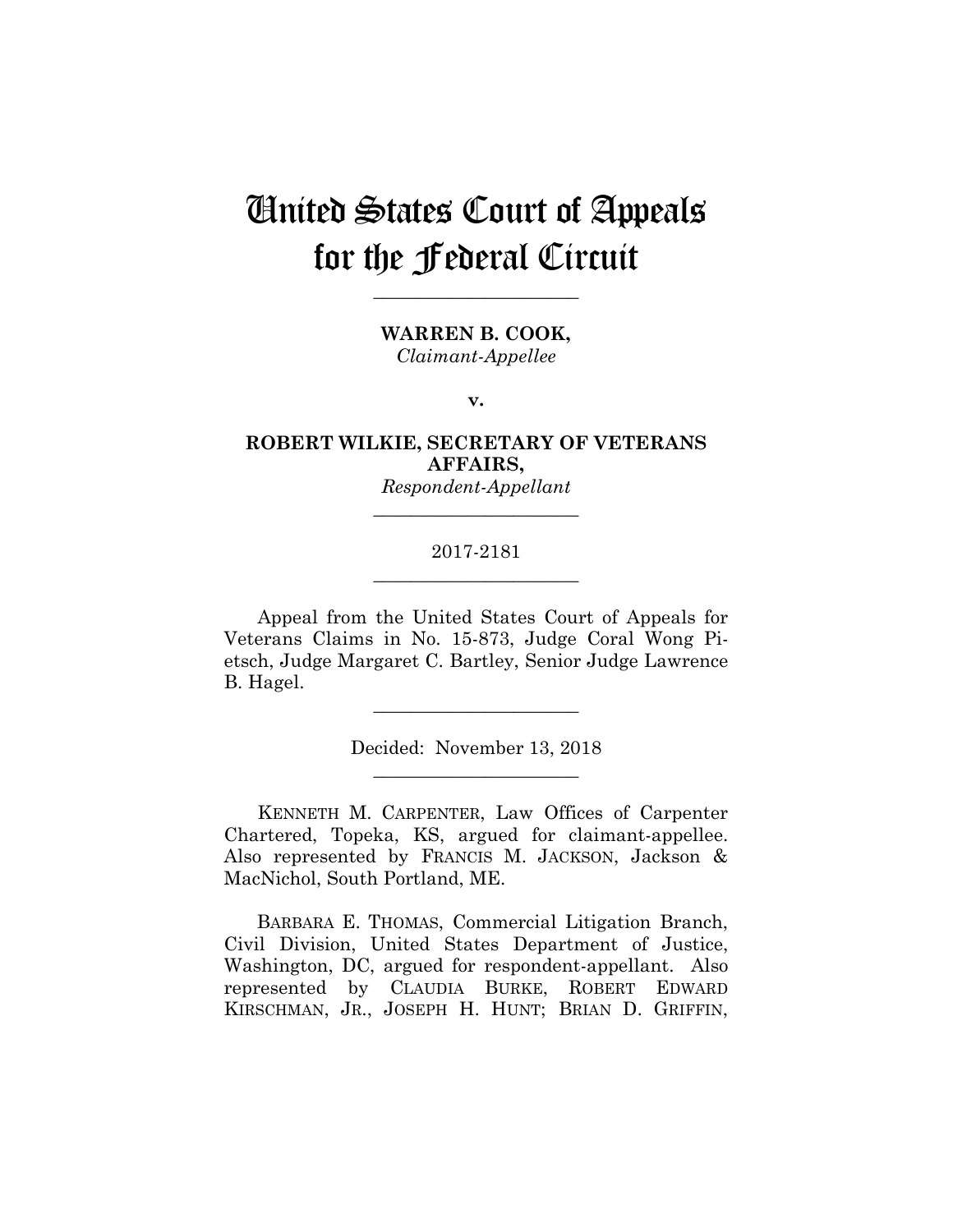# United States Court of Appeals for the Federal Circuit

**\_\_\_\_\_\_\_\_\_\_\_\_\_\_\_\_\_\_\_\_\_\_** 

**WARREN B. COOK,** *Claimant-Appellee*

**v.**

**ROBERT WILKIE, SECRETARY OF VETERANS AFFAIRS,**

> *Respondent-Appellant* **\_\_\_\_\_\_\_\_\_\_\_\_\_\_\_\_\_\_\_\_\_\_**

# 2017-2181 **\_\_\_\_\_\_\_\_\_\_\_\_\_\_\_\_\_\_\_\_\_\_**

Appeal from the United States Court of Appeals for Veterans Claims in No. 15-873, Judge Coral Wong Pietsch, Judge Margaret C. Bartley, Senior Judge Lawrence B. Hagel.

> Decided: November 13, 2018 **\_\_\_\_\_\_\_\_\_\_\_\_\_\_\_\_\_\_\_\_\_\_**

**\_\_\_\_\_\_\_\_\_\_\_\_\_\_\_\_\_\_\_\_\_\_** 

KENNETH M. CARPENTER, Law Offices of Carpenter Chartered, Topeka, KS, argued for claimant-appellee. Also represented by FRANCIS M. JACKSON, Jackson & MacNichol, South Portland, ME.

 BARBARA E. THOMAS, Commercial Litigation Branch, Civil Division, United States Department of Justice, Washington, DC, argued for respondent-appellant. Also represented by CLAUDIA BURKE, ROBERT EDWARD KIRSCHMAN, JR., JOSEPH H. HUNT; BRIAN D. GRIFFIN,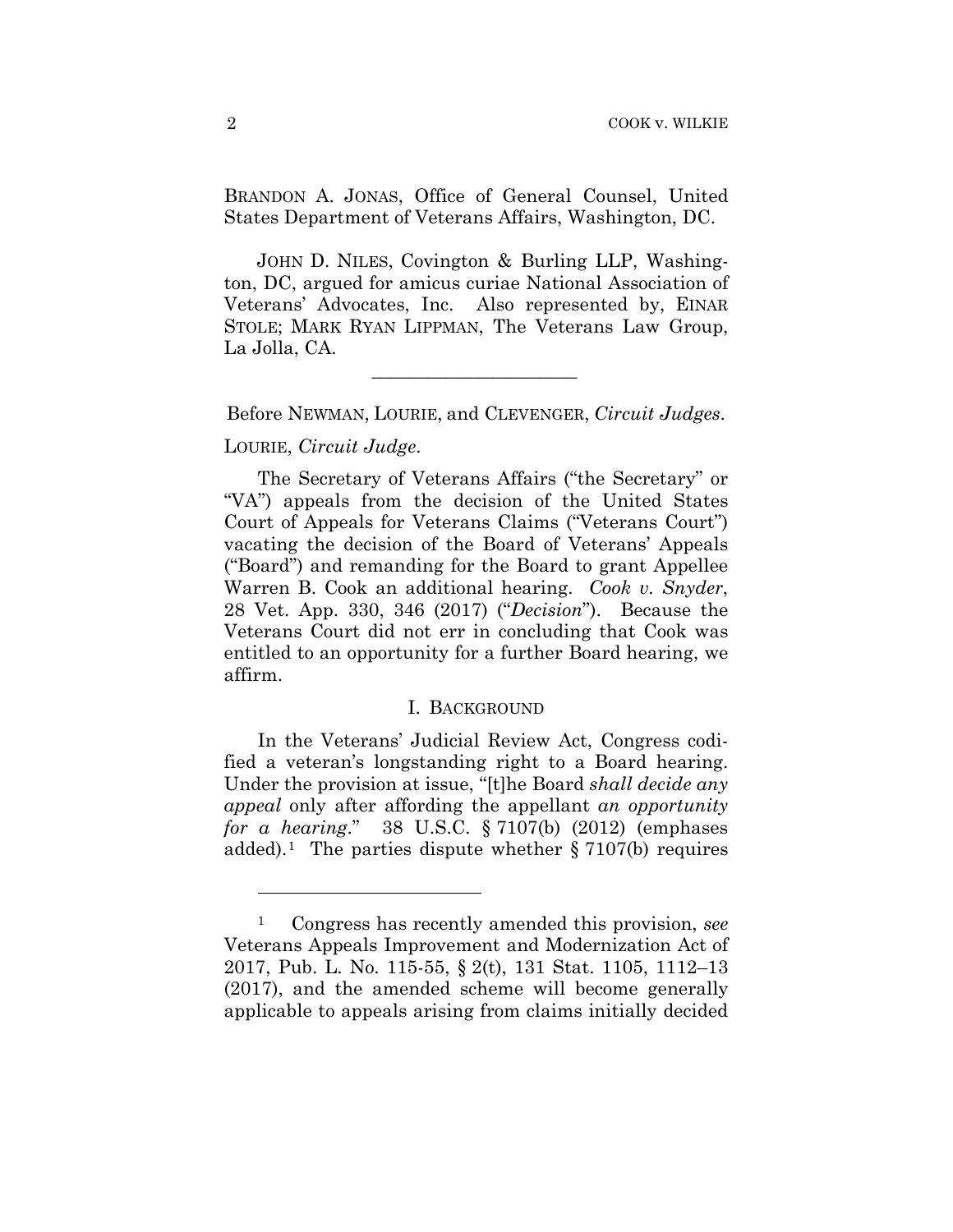BRANDON A. JONAS, Office of General Counsel, United States Department of Veterans Affairs, Washington, DC.

 JOHN D. NILES, Covington & Burling LLP, Washington, DC, argued for amicus curiae National Association of Veterans' Advocates, Inc. Also represented by, EINAR STOLE; MARK RYAN LIPPMAN, The Veterans Law Group, La Jolla, CA.

Before NEWMAN, LOURIE, and CLEVENGER, *Circuit Judges*.

 $\mathcal{L}_\text{max}$  and  $\mathcal{L}_\text{max}$  and  $\mathcal{L}_\text{max}$  and  $\mathcal{L}_\text{max}$ 

## LOURIE, *Circuit Judge*.

1

The Secretary of Veterans Affairs ("the Secretary" or "VA") appeals from the decision of the United States Court of Appeals for Veterans Claims ("Veterans Court") vacating the decision of the Board of Veterans' Appeals ("Board") and remanding for the Board to grant Appellee Warren B. Cook an additional hearing. *Cook v. Snyder*, 28 Vet. App. 330, 346 (2017) ("*Decision*"). Because the Veterans Court did not err in concluding that Cook was entitled to an opportunity for a further Board hearing, we affirm.

# I. BACKGROUND

In the Veterans' Judicial Review Act, Congress codified a veteran's longstanding right to a Board hearing. Under the provision at issue, "[t]he Board *shall decide any appeal* only after affording the appellant *an opportunity for a hearing*." 38 U.S.C. § 7107(b) (2012) (emphases added).1The parties dispute whether § 7107(b) requires

<sup>1</sup> Congress has recently amended this provision, *see*  Veterans Appeals Improvement and Modernization Act of 2017, Pub. L. No. 115-55, § 2(t), 131 Stat. 1105, 1112–13 (2017), and the amended scheme will become generally applicable to appeals arising from claims initially decided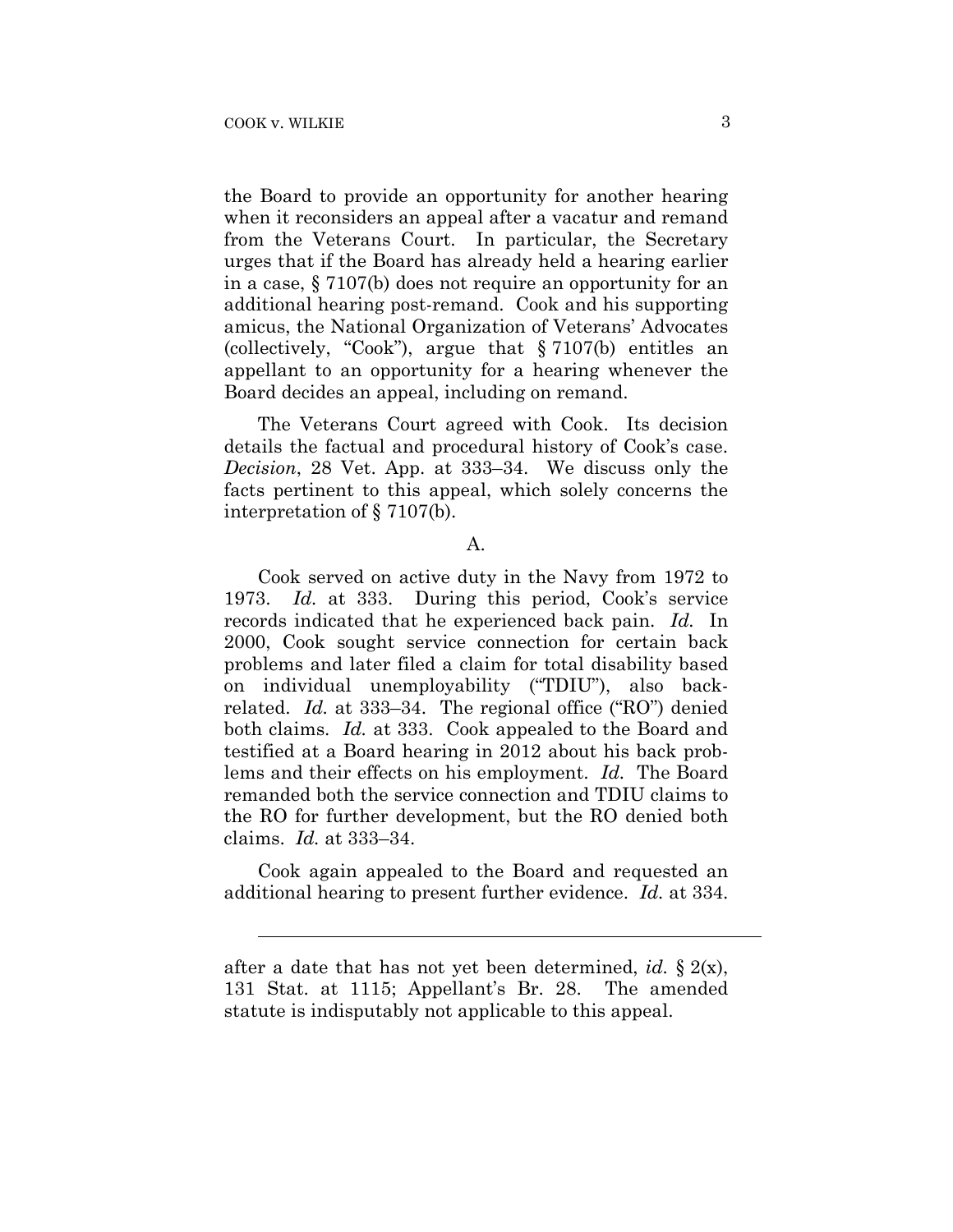l

the Board to provide an opportunity for another hearing when it reconsiders an appeal after a vacatur and remand from the Veterans Court. In particular, the Secretary urges that if the Board has already held a hearing earlier in a case, § 7107(b) does not require an opportunity for an additional hearing post-remand. Cook and his supporting amicus, the National Organization of Veterans' Advocates (collectively, "Cook"), argue that § 7107(b) entitles an appellant to an opportunity for a hearing whenever the Board decides an appeal, including on remand.

The Veterans Court agreed with Cook. Its decision details the factual and procedural history of Cook's case. *Decision*, 28 Vet. App. at 333–34. We discuss only the facts pertinent to this appeal, which solely concerns the interpretation of § 7107(b).

#### A.

Cook served on active duty in the Navy from 1972 to 1973. *Id.* at 333. During this period, Cook's service records indicated that he experienced back pain. *Id.* In 2000, Cook sought service connection for certain back problems and later filed a claim for total disability based on individual unemployability ("TDIU"), also backrelated. *Id.* at 333–34. The regional office ("RO") denied both claims. *Id.* at 333. Cook appealed to the Board and testified at a Board hearing in 2012 about his back problems and their effects on his employment. *Id.* The Board remanded both the service connection and TDIU claims to the RO for further development, but the RO denied both claims. *Id.* at 333–34.

Cook again appealed to the Board and requested an additional hearing to present further evidence. *Id.* at 334.

after a date that has not yet been determined, *id.* § 2(x), 131 Stat. at 1115; Appellant's Br. 28. The amended statute is indisputably not applicable to this appeal.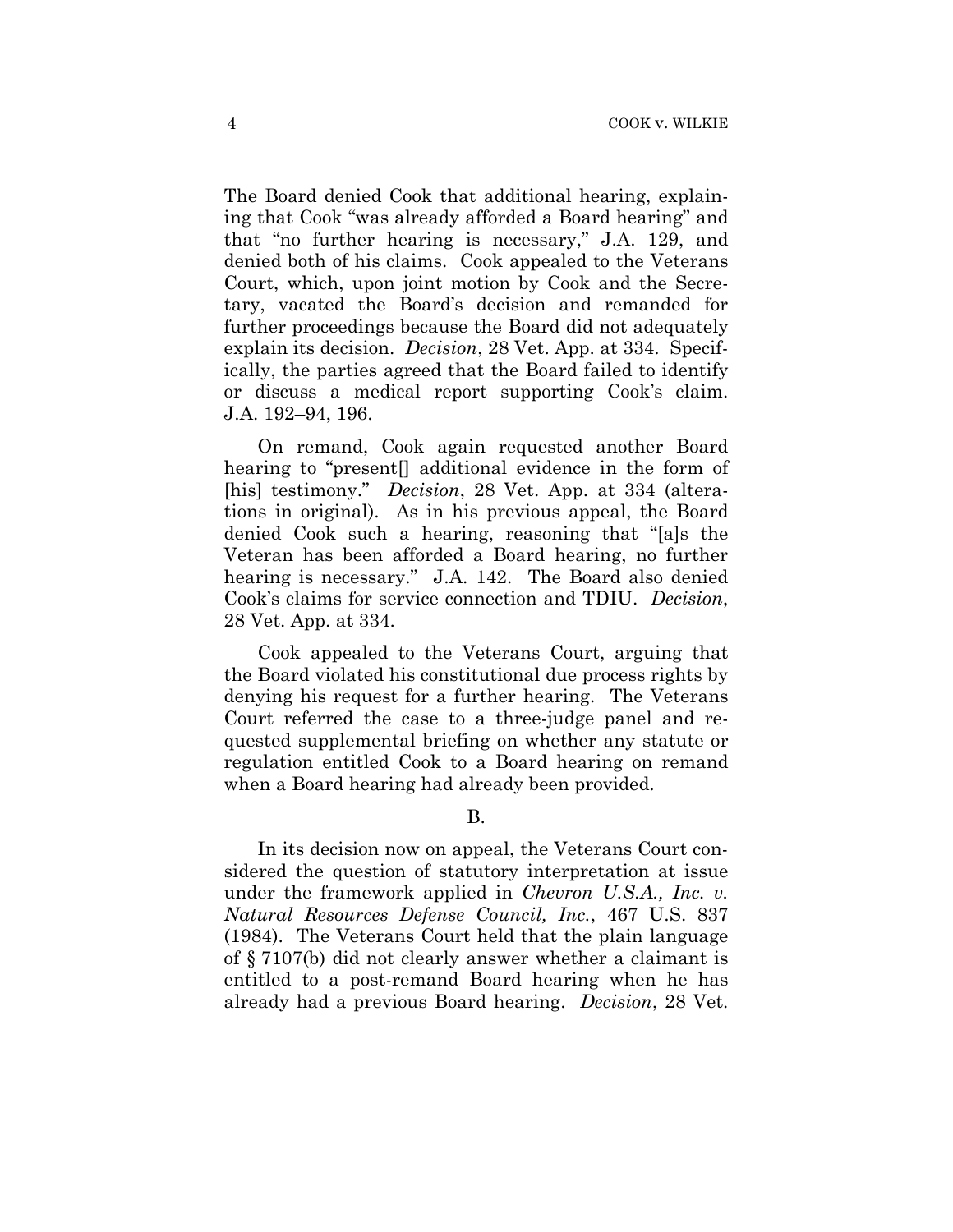The Board denied Cook that additional hearing, explaining that Cook "was already afforded a Board hearing" and that "no further hearing is necessary," J.A. 129, and denied both of his claims. Cook appealed to the Veterans Court, which, upon joint motion by Cook and the Secretary, vacated the Board's decision and remanded for further proceedings because the Board did not adequately explain its decision. *Decision*, 28 Vet. App. at 334. Specifically, the parties agreed that the Board failed to identify or discuss a medical report supporting Cook's claim. J.A. 192–94, 196.

On remand, Cook again requested another Board hearing to "present[] additional evidence in the form of [his] testimony." *Decision*, 28 Vet. App. at 334 (alterations in original). As in his previous appeal, the Board denied Cook such a hearing, reasoning that "[a]s the Veteran has been afforded a Board hearing, no further hearing is necessary." J.A. 142. The Board also denied Cook's claims for service connection and TDIU. *Decision*, 28 Vet. App. at 334.

Cook appealed to the Veterans Court, arguing that the Board violated his constitutional due process rights by denying his request for a further hearing.The Veterans Court referred the case to a three-judge panel and requested supplemental briefing on whether any statute or regulation entitled Cook to a Board hearing on remand when a Board hearing had already been provided.

## B.

In its decision now on appeal, the Veterans Court considered the question of statutory interpretation at issue under the framework applied in *Chevron U.S.A., Inc. v. Natural Resources Defense Council, Inc.*, 467 U.S. 837 (1984). The Veterans Court held that the plain language of § 7107(b) did not clearly answer whether a claimant is entitled to a post-remand Board hearing when he has already had a previous Board hearing. *Decision*, 28 Vet.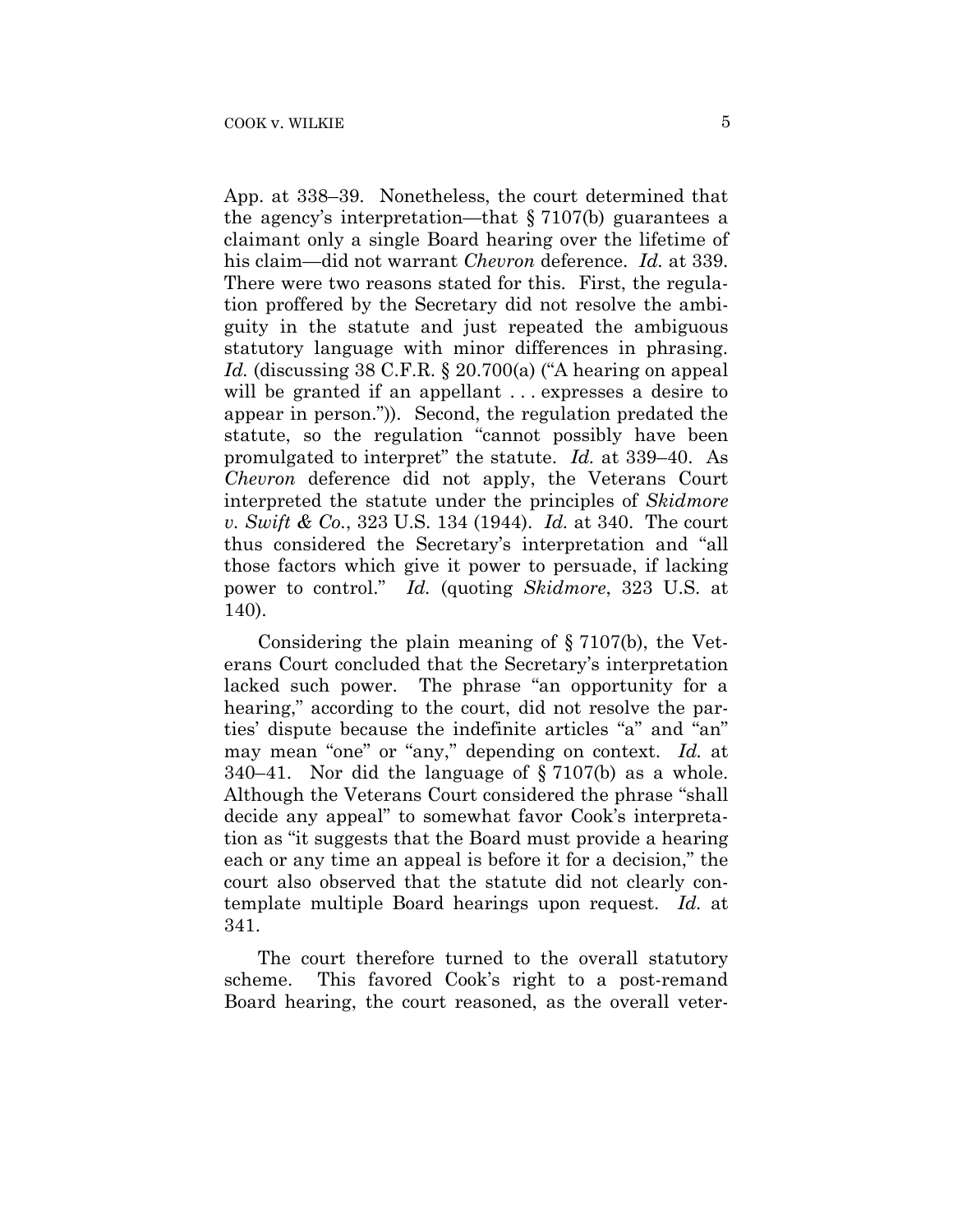App. at 338–39. Nonetheless, the court determined that the agency's interpretation—that § 7107(b) guarantees a claimant only a single Board hearing over the lifetime of his claim—did not warrant *Chevron* deference. *Id.* at 339. There were two reasons stated for this. First, the regulation proffered by the Secretary did not resolve the ambiguity in the statute and just repeated the ambiguous statutory language with minor differences in phrasing. Id. (discussing 38 C.F.R. § 20.700(a) ("A hearing on appeal will be granted if an appellant ... expresses a desire to appear in person.")). Second, the regulation predated the statute, so the regulation "cannot possibly have been promulgated to interpret" the statute. *Id.* at 339–40. As *Chevron* deference did not apply, the Veterans Court interpreted the statute under the principles of *Skidmore v. Swift & Co.*, 323 U.S. 134 (1944). *Id.* at 340. The court thus considered the Secretary's interpretation and "all those factors which give it power to persuade, if lacking power to control." *Id.* (quoting *Skidmore*, 323 U.S. at 140).

Considering the plain meaning of § 7107(b), the Veterans Court concluded that the Secretary's interpretation lacked such power. The phrase "an opportunity for a hearing," according to the court, did not resolve the parties' dispute because the indefinite articles "a" and "an" may mean "one" or "any," depending on context. *Id.* at 340–41. Nor did the language of § 7107(b) as a whole. Although the Veterans Court considered the phrase "shall decide any appeal" to somewhat favor Cook's interpretation as "it suggests that the Board must provide a hearing each or any time an appeal is before it for a decision," the court also observed that the statute did not clearly contemplate multiple Board hearings upon request. *Id.* at 341.

The court therefore turned to the overall statutory scheme. This favored Cook's right to a post-remand Board hearing, the court reasoned, as the overall veter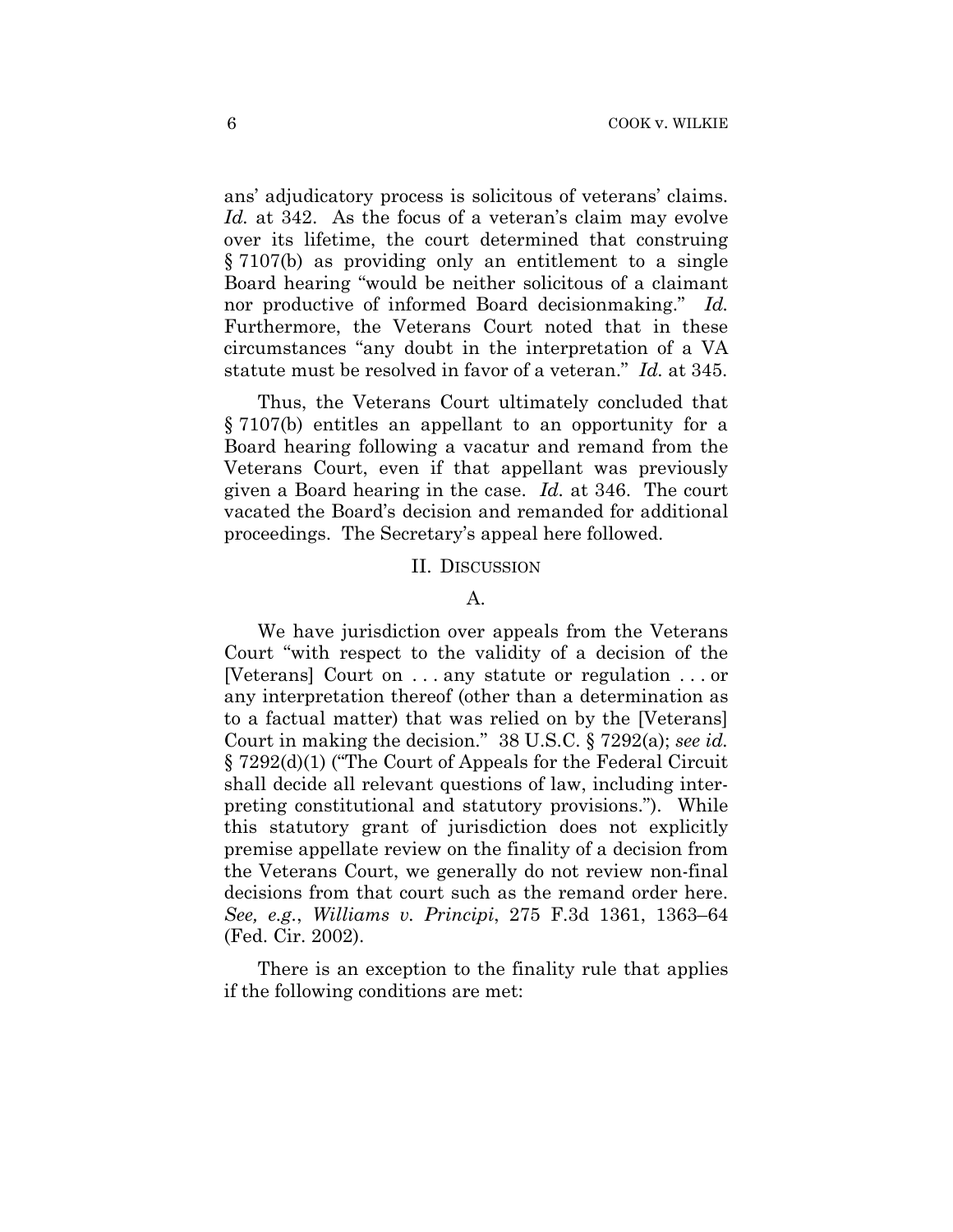ans' adjudicatory process is solicitous of veterans' claims. *Id.* at 342. As the focus of a veteran's claim may evolve over its lifetime, the court determined that construing § 7107(b) as providing only an entitlement to a single Board hearing "would be neither solicitous of a claimant nor productive of informed Board decisionmaking." *Id.*  Furthermore, the Veterans Court noted that in these circumstances "any doubt in the interpretation of a VA statute must be resolved in favor of a veteran." *Id.* at 345.

Thus, the Veterans Court ultimately concluded that § 7107(b) entitles an appellant to an opportunity for a Board hearing following a vacatur and remand from the Veterans Court, even if that appellant was previously given a Board hearing in the case. *Id.* at 346. The court vacated the Board's decision and remanded for additional proceedings. The Secretary's appeal here followed.

#### II. DISCUSSION

## A.

We have jurisdiction over appeals from the Veterans Court "with respect to the validity of a decision of the [Veterans] Court on . . . any statute or regulation . . . or any interpretation thereof (other than a determination as to a factual matter) that was relied on by the [Veterans] Court in making the decision." 38 U.S.C. § 7292(a); *see id.*  § 7292(d)(1) ("The Court of Appeals for the Federal Circuit shall decide all relevant questions of law, including interpreting constitutional and statutory provisions."). While this statutory grant of jurisdiction does not explicitly premise appellate review on the finality of a decision from the Veterans Court, we generally do not review non-final decisions from that court such as the remand order here. *See, e.g.*, *Williams v. Principi*, 275 F.3d 1361, 1363–64 (Fed. Cir. 2002).

There is an exception to the finality rule that applies if the following conditions are met: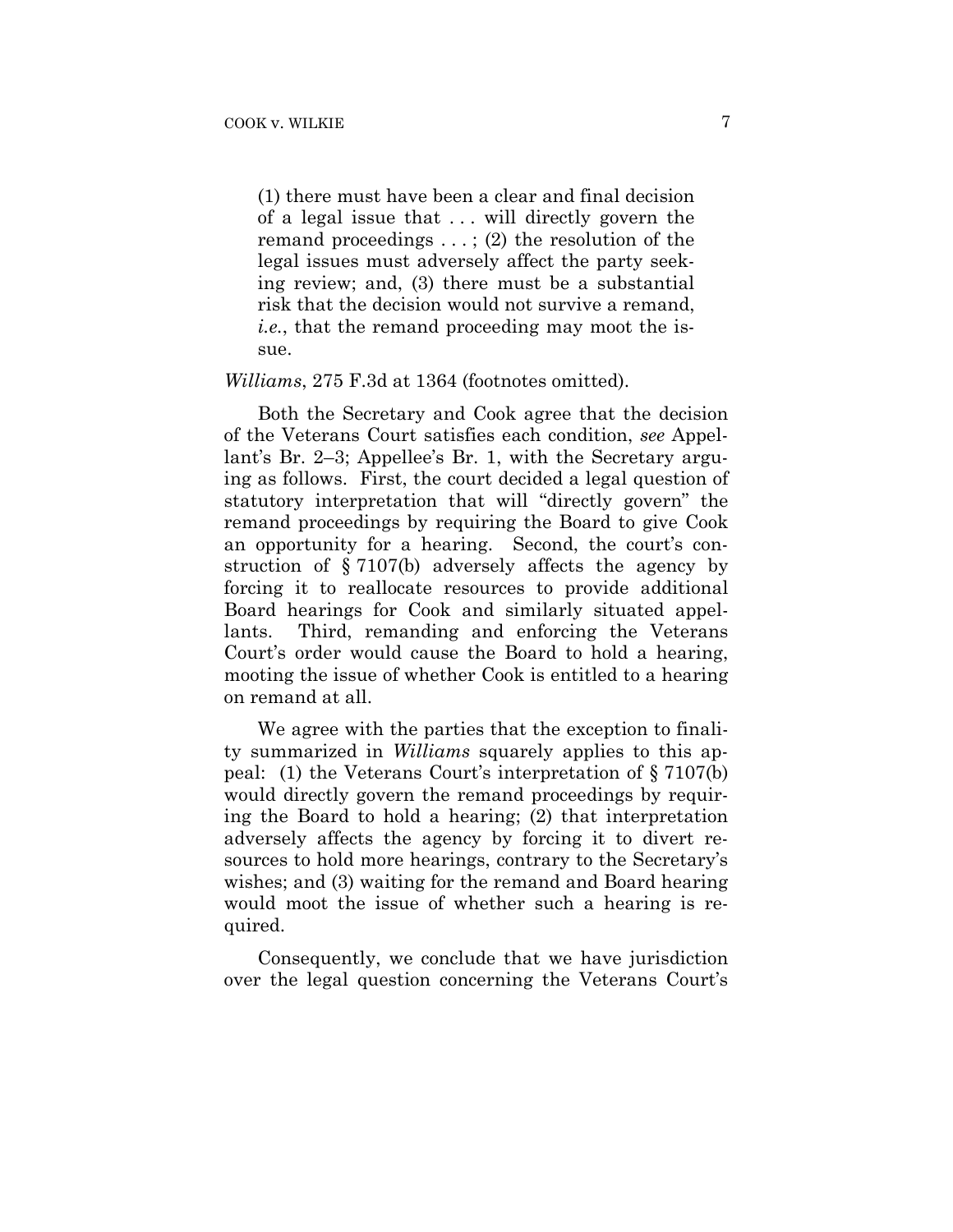(1) there must have been a clear and final decision of a legal issue that . . . will directly govern the remand proceedings . . . ; (2) the resolution of the legal issues must adversely affect the party seeking review; and, (3) there must be a substantial risk that the decision would not survive a remand, *i.e.*, that the remand proceeding may moot the issue.

#### *Williams*, 275 F.3d at 1364 (footnotes omitted).

Both the Secretary and Cook agree that the decision of the Veterans Court satisfies each condition, *see* Appellant's Br. 2–3; Appellee's Br. 1, with the Secretary arguing as follows. First, the court decided a legal question of statutory interpretation that will "directly govern" the remand proceedings by requiring the Board to give Cook an opportunity for a hearing. Second, the court's construction of § 7107(b) adversely affects the agency by forcing it to reallocate resources to provide additional Board hearings for Cook and similarly situated appellants. Third, remanding and enforcing the Veterans Court's order would cause the Board to hold a hearing, mooting the issue of whether Cook is entitled to a hearing on remand at all.

We agree with the parties that the exception to finality summarized in *Williams* squarely applies to this appeal: (1) the Veterans Court's interpretation of § 7107(b) would directly govern the remand proceedings by requiring the Board to hold a hearing; (2) that interpretation adversely affects the agency by forcing it to divert resources to hold more hearings, contrary to the Secretary's wishes; and (3) waiting for the remand and Board hearing would moot the issue of whether such a hearing is required.

Consequently, we conclude that we have jurisdiction over the legal question concerning the Veterans Court's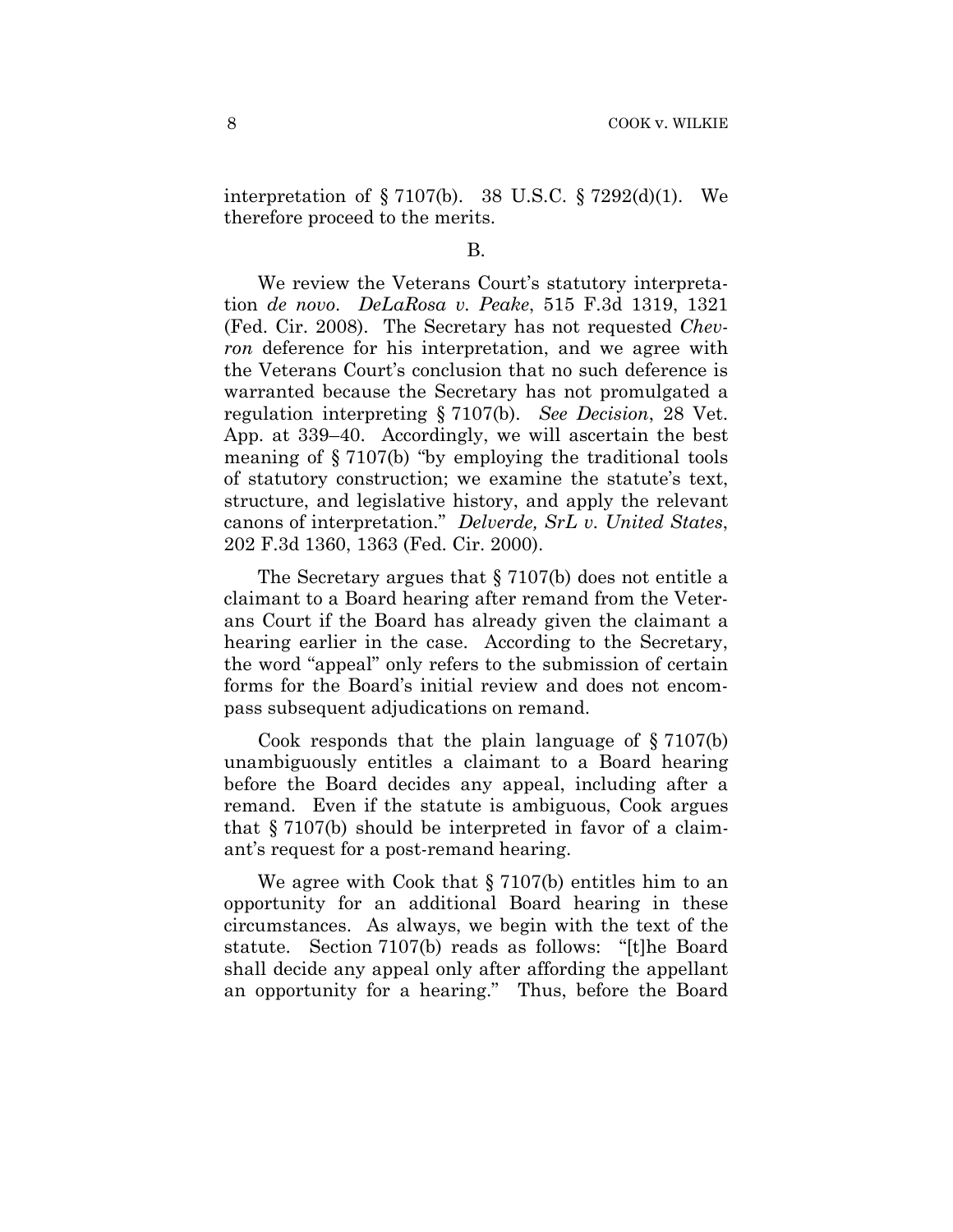interpretation of § 7107(b). 38 U.S.C. § 7292(d)(1). We therefore proceed to the merits.

### B.

We review the Veterans Court's statutory interpretation *de novo*. *DeLaRosa v. Peake*, 515 F.3d 1319, 1321 (Fed. Cir. 2008). The Secretary has not requested *Chevron* deference for his interpretation, and we agree with the Veterans Court's conclusion that no such deference is warranted because the Secretary has not promulgated a regulation interpreting § 7107(b). *See Decision*, 28 Vet. App. at 339–40. Accordingly, we will ascertain the best meaning of § 7107(b) "by employing the traditional tools of statutory construction; we examine the statute's text, structure, and legislative history, and apply the relevant canons of interpretation." *Delverde, SrL v. United States*, 202 F.3d 1360, 1363 (Fed. Cir. 2000).

The Secretary argues that § 7107(b) does not entitle a claimant to a Board hearing after remand from the Veterans Court if the Board has already given the claimant a hearing earlier in the case. According to the Secretary, the word "appeal" only refers to the submission of certain forms for the Board's initial review and does not encompass subsequent adjudications on remand.

Cook responds that the plain language of  $\S 7107(b)$ unambiguously entitles a claimant to a Board hearing before the Board decides any appeal, including after a remand. Even if the statute is ambiguous, Cook argues that § 7107(b) should be interpreted in favor of a claimant's request for a post-remand hearing.

We agree with Cook that § 7107(b) entitles him to an opportunity for an additional Board hearing in these circumstances. As always, we begin with the text of the statute. Section 7107(b) reads as follows: "[t]he Board shall decide any appeal only after affording the appellant an opportunity for a hearing." Thus, before the Board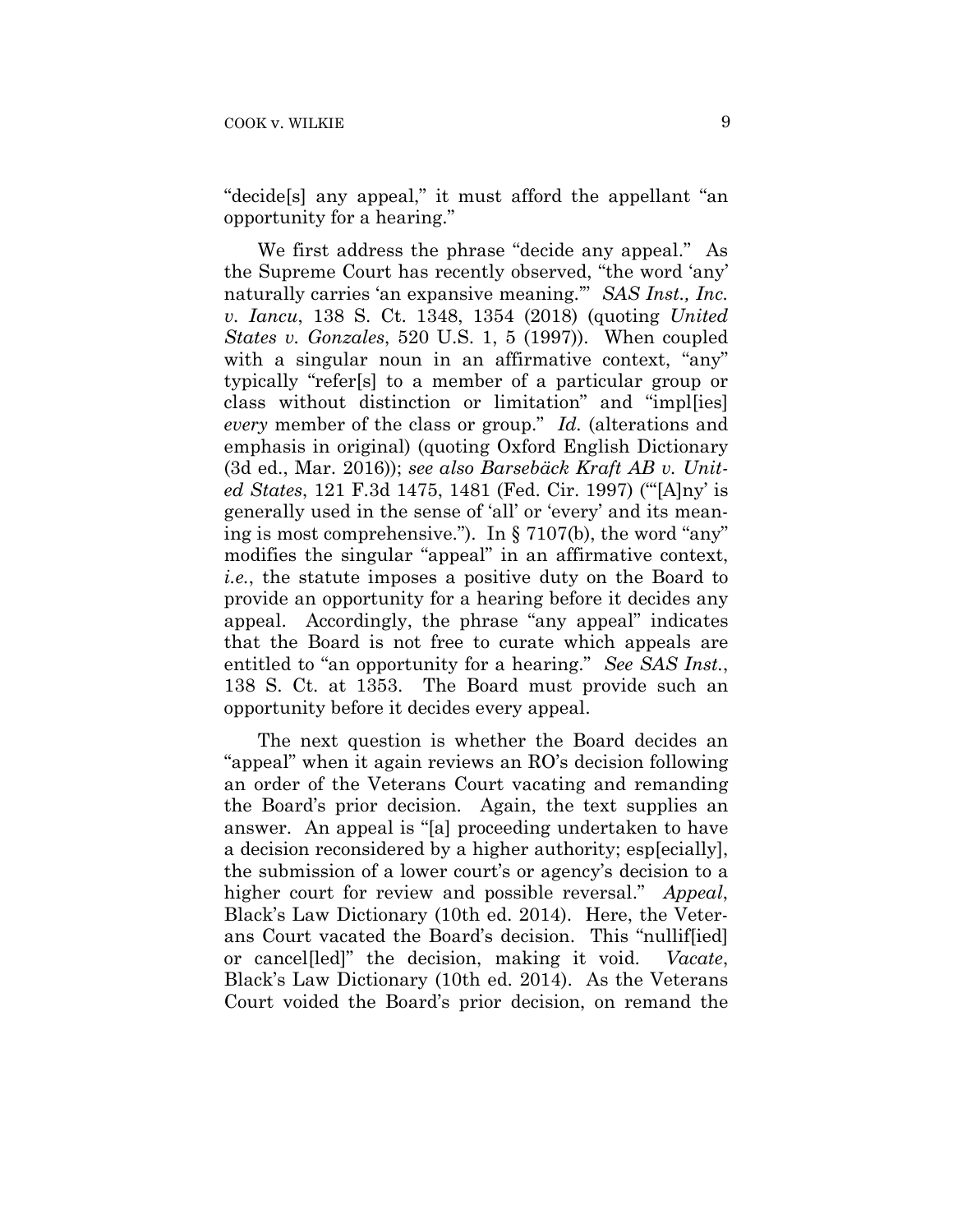"decide[s] any appeal," it must afford the appellant "an opportunity for a hearing."

We first address the phrase "decide any appeal." As the Supreme Court has recently observed, "the word 'any' naturally carries 'an expansive meaning.'" *SAS Inst., Inc. v. Iancu*, 138 S. Ct. 1348, 1354 (2018) (quoting *United States v. Gonzales*, 520 U.S. 1, 5 (1997)). When coupled with a singular noun in an affirmative context, "any" typically "refer[s] to a member of a particular group or class without distinction or limitation" and "impl[ies] *every* member of the class or group." *Id.* (alterations and emphasis in original) (quoting Oxford English Dictionary (3d ed., Mar. 2016)); *see also Barsebäck Kraft AB v. United States*, 121 F.3d 1475, 1481 (Fed. Cir. 1997) ("'[A]ny' is generally used in the sense of 'all' or 'every' and its meaning is most comprehensive."). In § 7107(b), the word "any" modifies the singular "appeal" in an affirmative context, *i.e.*, the statute imposes a positive duty on the Board to provide an opportunity for a hearing before it decides any appeal. Accordingly, the phrase "any appeal" indicates that the Board is not free to curate which appeals are entitled to "an opportunity for a hearing." *See SAS Inst.*, 138 S. Ct. at 1353. The Board must provide such an opportunity before it decides every appeal.

The next question is whether the Board decides an "appeal" when it again reviews an RO's decision following an order of the Veterans Court vacating and remanding the Board's prior decision. Again, the text supplies an answer. An appeal is "[a] proceeding undertaken to have a decision reconsidered by a higher authority; esp[ecially], the submission of a lower court's or agency's decision to a higher court for review and possible reversal." *Appeal*, Black's Law Dictionary (10th ed. 2014). Here, the Veterans Court vacated the Board's decision. This "nullif[ied] or cancel[led]" the decision, making it void. *Vacate*, Black's Law Dictionary (10th ed. 2014). As the Veterans Court voided the Board's prior decision, on remand the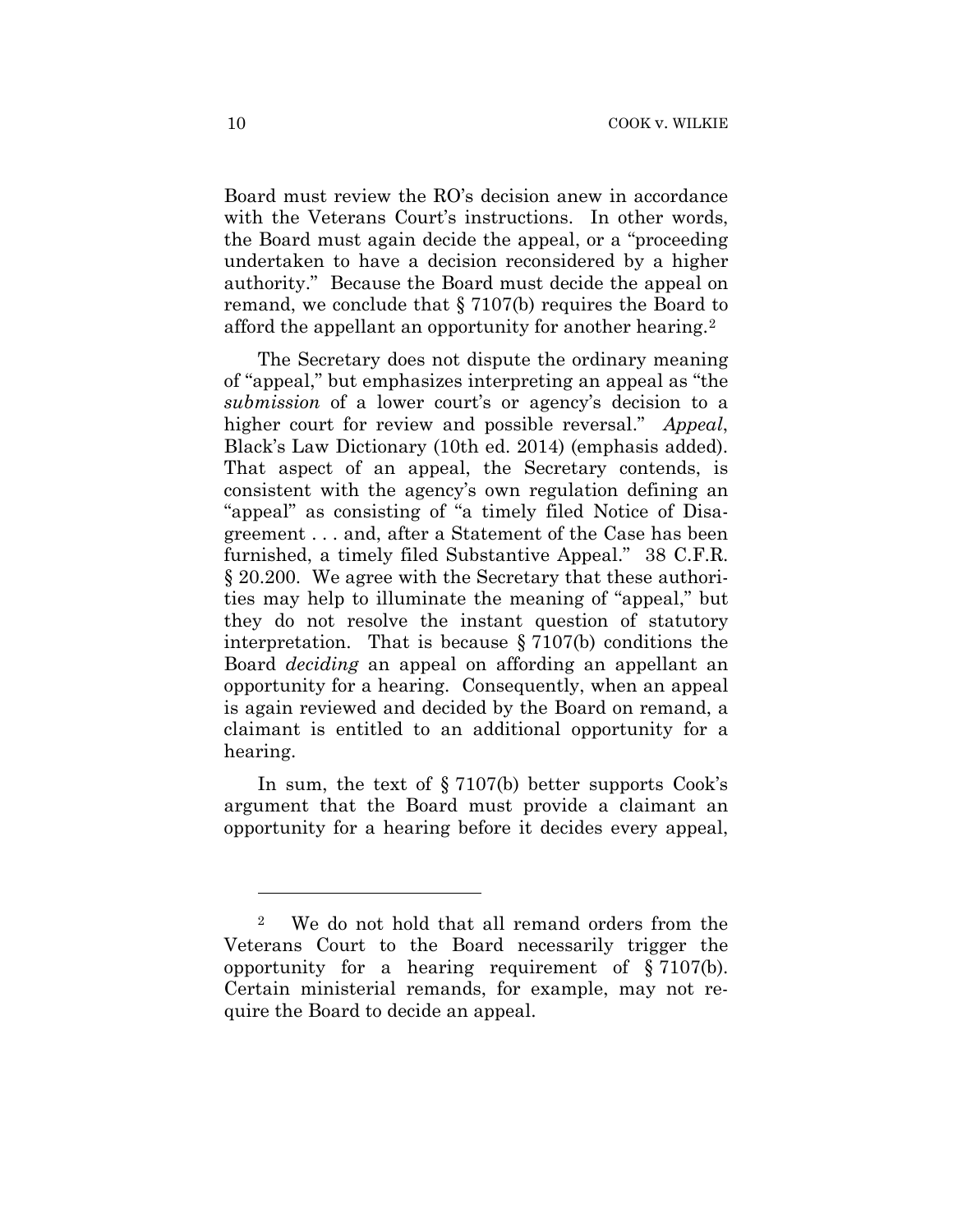Board must review the RO's decision anew in accordance with the Veterans Court's instructions. In other words, the Board must again decide the appeal, or a "proceeding undertaken to have a decision reconsidered by a higher authority." Because the Board must decide the appeal on remand, we conclude that § 7107(b) requires the Board to afford the appellant an opportunity for another hearing.2

The Secretary does not dispute the ordinary meaning of "appeal," but emphasizes interpreting an appeal as "the *submission* of a lower court's or agency's decision to a higher court for review and possible reversal." *Appeal*, Black's Law Dictionary (10th ed. 2014) (emphasis added). That aspect of an appeal, the Secretary contends, is consistent with the agency's own regulation defining an "appeal" as consisting of "a timely filed Notice of Disagreement . . . and, after a Statement of the Case has been furnished, a timely filed Substantive Appeal." 38 C.F.R. § 20.200. We agree with the Secretary that these authorities may help to illuminate the meaning of "appeal," but they do not resolve the instant question of statutory interpretation. That is because § 7107(b) conditions the Board *deciding* an appeal on affording an appellant an opportunity for a hearing. Consequently, when an appeal is again reviewed and decided by the Board on remand, a claimant is entitled to an additional opportunity for a hearing.

In sum, the text of § 7107(b) better supports Cook's argument that the Board must provide a claimant an opportunity for a hearing before it decides every appeal,

1

<sup>2</sup> We do not hold that all remand orders from the Veterans Court to the Board necessarily trigger the opportunity for a hearing requirement of § 7107(b). Certain ministerial remands, for example, may not require the Board to decide an appeal.